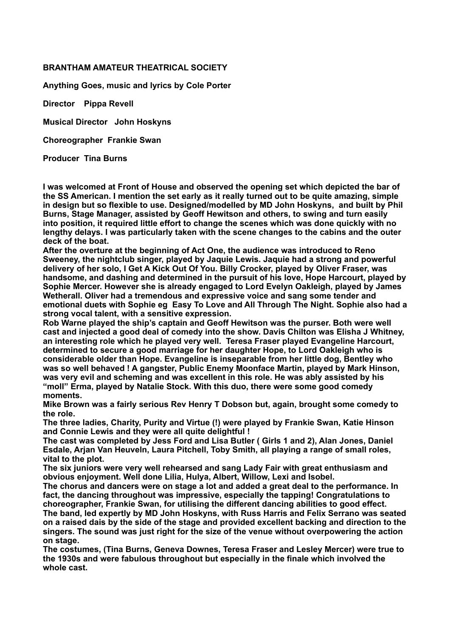## **BRANTHAM AMATEUR THEATRICAL SOCIETY**

**Anything Goes, music and lyrics by Cole Porter** 

**Director Pippa Revell** 

**Musical Director John Hoskyns** 

**Choreographer Frankie Swan** 

**Producer Tina Burns**

**I was welcomed at Front of House and observed the opening set which depicted the bar of the SS American. I mention the set early as it really turned out to be quite amazing, simple in design but so flexible to use. Designed/modelled by MD John Hoskyns, and built by Phil Burns, Stage Manager, assisted by Geoff Hewitson and others, to swing and turn easily into position, it required little effort to change the scenes which was done quickly with no lengthy delays. I was particularly taken with the scene changes to the cabins and the outer deck of the boat.** 

**After the overture at the beginning of Act One, the audience was introduced to Reno Sweeney, the nightclub singer, played by Jaquie Lewis. Jaquie had a strong and powerful delivery of her solo, I Get A Kick Out Of You. Billy Crocker, played by Oliver Fraser, was handsome, and dashing and determined in the pursuit of his love, Hope Harcourt, played by Sophie Mercer. However she is already engaged to Lord Evelyn Oakleigh, played by James Wetherall. Oliver had a tremendous and expressive voice and sang some tender and emotional duets with Sophie eg Easy To Love and All Through The Night. Sophie also had a strong vocal talent, with a sensitive expression.** 

**Rob Warne played the ship's captain and Geoff Hewitson was the purser. Both were well cast and injected a good deal of comedy into the show. Davis Chilton was Elisha J Whitney, an interesting role which he played very well. Teresa Fraser played Evangeline Harcourt, determined to secure a good marriage for her daughter Hope, to Lord Oakleigh who is considerable older than Hope. Evangeline is inseparable from her little dog, Bentley who was so well behaved ! A gangster, Public Enemy Moonface Martin, played by Mark Hinson, was very evil and scheming and was excellent in this role. He was ably assisted by his "moll" Erma, played by Natalie Stock. With this duo, there were some good comedy moments.** 

**Mike Brown was a fairly serious Rev Henry T Dobson but, again, brought some comedy to the role.** 

**The three ladies, Charity, Purity and Virtue (!) were played by Frankie Swan, Katie Hinson and Connie Lewis and they were all quite delightful !** 

**The cast was completed by Jess Ford and Lisa Butler ( Girls 1 and 2), Alan Jones, Daniel Esdale, Arjan Van Heuveln, Laura Pitchell, Toby Smith, all playing a range of small roles, vital to the plot.** 

**The six juniors were very well rehearsed and sang Lady Fair with great enthusiasm and obvious enjoyment. Well done Lilia, Hulya, Albert, Willow, Lexi and Isobel.** 

**The chorus and dancers were on stage a lot and added a great deal to the performance. In fact, the dancing throughout was impressive, especially the tapping! Congratulations to choreographer, Frankie Swan, for utilising the different dancing abilities to good effect. The band, led expertly by MD John Hoskyns, with Russ Harris and Felix Serrano was seated on a raised dais by the side of the stage and provided excellent backing and direction to the singers. The sound was just right for the size of the venue without overpowering the action on stage.** 

**The costumes, (Tina Burns, Geneva Downes, Teresa Fraser and Lesley Mercer) were true to the 1930s and were fabulous throughout but especially in the finale which involved the whole cast.**